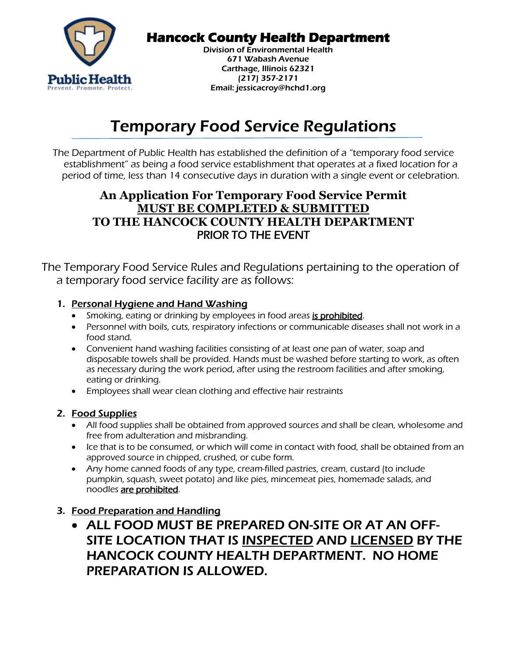

# **Hancock County Health Department**

Division of Environmental Health 671 Wabash Avenue Carthage, Illinois 62321 (217) 357-2171 Email: jessicacroy@hchd1.org

# Temporary Food Service Regulations

The Department of Public Health has established the definition of a "temporary food service establishment" as being a food service establishment that operates at a fixed location for a period of time, less than 14 consecutive days in duration with a single event or celebration.

## **An Application For Temporary Food Service Permit MUST BE COMPLETED & SUBMITTED TO THE HANCOCK COUNTY HEALTH DEPARTMENT** PRIOR TO THE EVENT

The Temporary Food Service Rules and Regulations pertaining to the operation of a temporary food service facility are as follows:

#### 1. Personal Hygiene and Hand Washing

- Smoking, eating or drinking by employees in food areas is prohibited.
- Personnel with boils, cuts, respiratory infections or communicable diseases shall not work in a food stand.
- Convenient hand washing facilities consisting of at least one pan of water, soap and disposable towels shall be provided. Hands must be washed before starting to work, as often as necessary during the work period, after using the restroom facilities and after smoking, eating or drinking.
- Employees shall wear clean clothing and effective hair restraints

#### 2. Food Supplies

- All food supplies shall be obtained from approved sources and shall be clean, wholesome and free from adulteration and misbranding.
- Ice that is to be consumed, or which will come in contact with food, shall be obtained from an approved source in chipped, crushed, or cube form.
- Any home canned foods of any type, cream-filled pastries, cream, custard (to include pumpkin, squash, sweet potato) and like pies, mincemeat pies, homemade salads, and noodles are prohibited.

### 3. Food Preparation and Handling

 ALL FOOD MUST BE PREPARED ON-SITE OR AT AN OFF-SITE LOCATION THAT IS INSPECTED AND LICENSED BY THE HANCOCK COUNTY HEALTH DEPARTMENT. NO HOME PREPARATION IS ALLOWED.